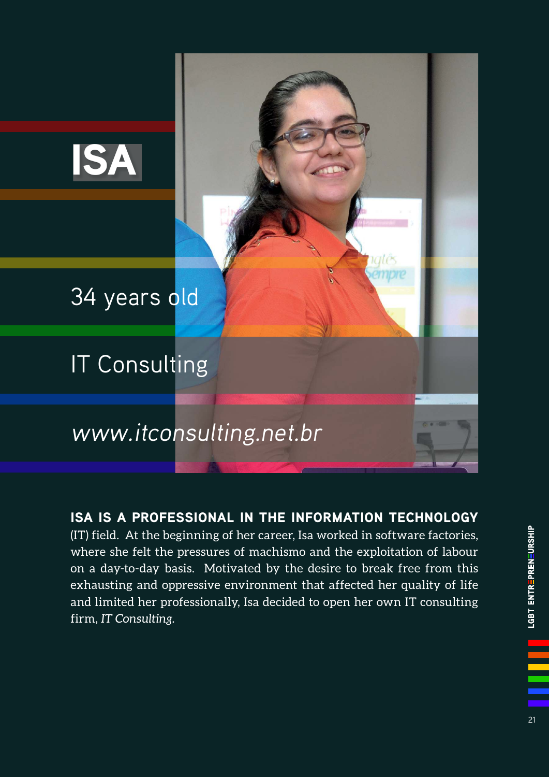

ISA IS A PROFESSIONAL IN THE INFORMATION TECHNOLOGY

(IT) field. At the beginning of her career, Isa worked in software factories, where she felt the pressures of machismo and the exploitation of labour on a day-to-day basis. Motivated by the desire to break free from this exhausting and oppressive environment that affected her quality of life and limited her professionally, Isa decided to open her own IT consulting firm, *IT Consulting*.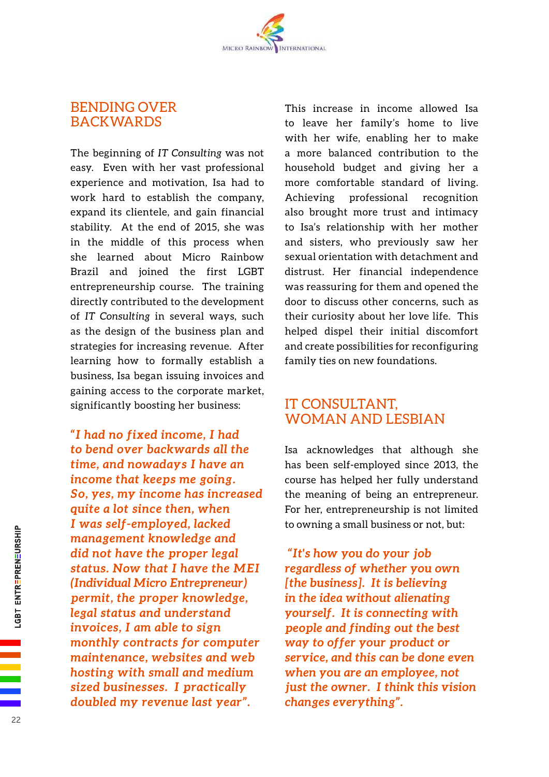## BENDING OVER BACKWARDS

The beginning of *IT Consulting* was not easy. Even with her vast professional experience and motivation, Isa had to work hard to establish the company, expand its clientele, and gain financial stability. At the end of 2015, she was in the middle of this process when she learned about Micro Rainbow Brazil and joined the first LGBT entrepreneurship course. The training directly contributed to the development of *IT Consulting* in several ways, such as the design of the business plan and strategies for increasing revenue. After learning how to formally establish a business, Isa began issuing invoices and gaining access to the corporate market, significantly boosting her business:

*"I had no fixed income, I had to bend over backwards all the time, and nowadays I have an income that keeps me going. So, yes, my income has increased quite a lot since then, when I was self-employed, lacked management knowledge and did not have the proper legal status. Now that I have the MEI (Individual Micro Entrepreneur) permit, the proper knowledge, legal status and understand invoices, I am able to sign monthly contracts for computer maintenance, websites and web hosting with small and medium sized businesses. I practically doubled my revenue last year".*

This increase in income allowed Isa to leave her family's home to live with her wife, enabling her to make a more balanced contribution to the household budget and giving her a more comfortable standard of living. Achieving professional recognition also brought more trust and intimacy to Isa's relationship with her mother and sisters, who previously saw her sexual orientation with detachment and distrust. Her financial independence was reassuring for them and opened the door to discuss other concerns, such as their curiosity about her love life. This helped dispel their initial discomfort and create possibilities for reconfiguring family ties on new foundations.

## IT CONSULTANT, WOMAN AND LESBIAN

Isa acknowledges that although she has been self-employed since 2013, the course has helped her fully understand the meaning of being an entrepreneur. For her, entrepreneurship is not limited to owning a small business or not, but:

 *"It's how you do your job regardless of whether you own [the business]. It is believing in the idea without alienating yourself. It is connecting with people and finding out the best way to offer your product or service, and this can be done even when you are an employee, not just the owner. I think this vision changes everything".*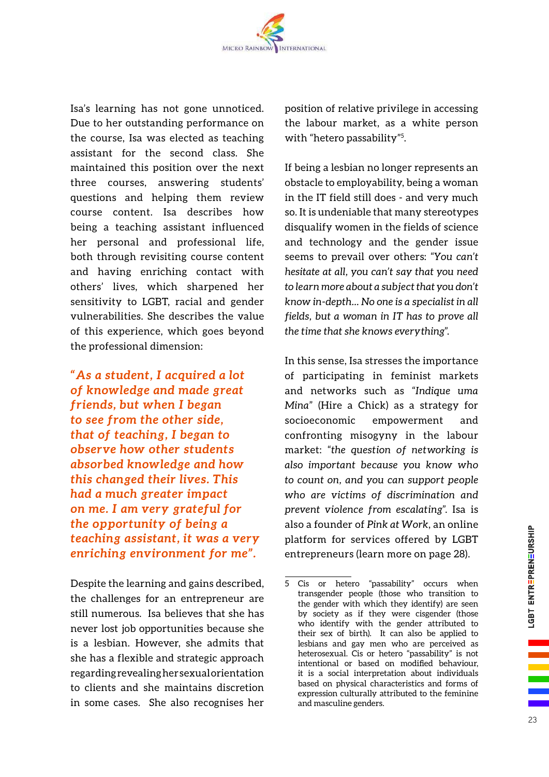Isa's learning has not gone unnoticed. Due to her outstanding performance on the course, Isa was elected as teaching assistant for the second class. She maintained this position over the next three courses, answering students' questions and helping them review course content. Isa describes how being a teaching assistant influenced her personal and professional life, both through revisiting course content and having enriching contact with others' lives, which sharpened her sensitivity to LGBT, racial and gender vulnerabilities. She describes the value of this experience, which goes beyond the professional dimension:

*"As a student, I acquired a lot of knowledge and made great friends, but when I began to see from the other side, that of teaching, I began to observe how other students absorbed knowledge and how this changed their lives. This had a much greater impact on me. I am very grateful for the opportunity of being a teaching assistant, it was a very enriching environment for me".*

Despite the learning and gains described, the challenges for an entrepreneur are still numerous. Isa believes that she has never lost job opportunities because she is a lesbian. However, she admits that she has a flexible and strategic approach regarding revealing her sexual orientation to clients and she maintains discretion in some cases. She also recognises her position of relative privilege in accessing the labour market, as a white person with "hetero passability"<sup>5</sup>.

If being a lesbian no longer represents an obstacle to employability, being a woman in the IT field still does - and very much so. It is undeniable that many stereotypes disqualify women in the fields of science and technology and the gender issue seems to prevail over others: "*You can't hesitate at all, you can't say that you need to learn more about a subject that you don't know in-depth... No one is a specialist in all fields, but a woman in IT has to prove all the time that she knows everything*".

In this sense, Isa stresses the importance of participating in feminist markets and networks such as "*Indique uma Mina*" (Hire a Chick) as a strategy for socioeconomic empowerment and confronting misogyny in the labour market: "*the question of networking is also important because you know who to count on, and you can support people who are victims of discrimination and prevent violence from escalating*". Isa is also a founder of *Pink at Work*, an online platform for services offered by LGBT entrepreneurs (learn more on page 28).

<sup>5</sup> Cis or hetero "passability" occurs when transgender people (those who transition to the gender with which they identify) are seen by society as if they were cisgender (those who identify with the gender attributed to their sex of birth). It can also be applied to lesbians and gay men who are perceived as heterosexual. Cis or hetero "passability" is not intentional or based on modified behaviour. it is a social interpretation about individuals based on physical characteristics and forms of expression culturally attributed to the feminine and masculine genders.